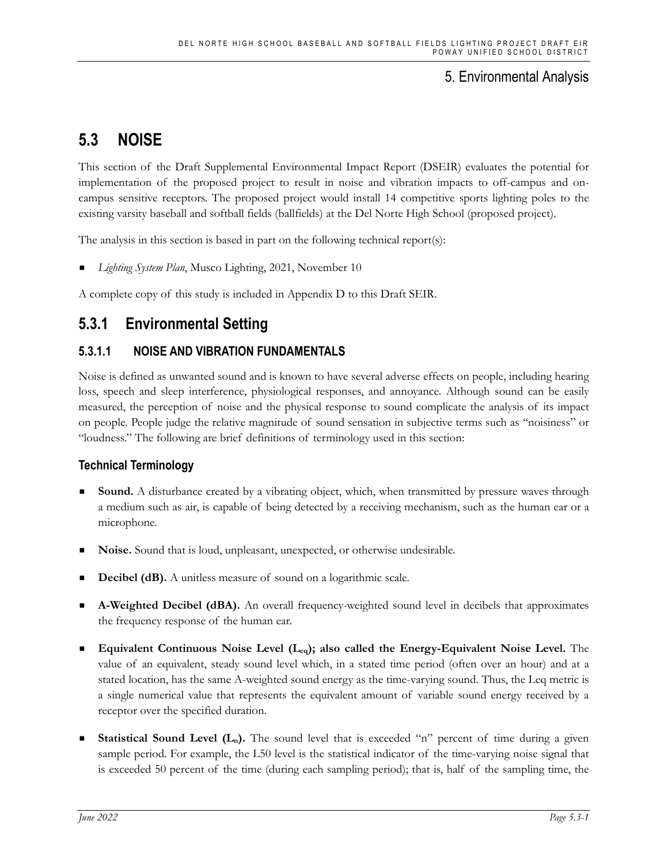# **5.3 NOISE**

This section of the Draft Supplemental Environmental Impact Report (DSEIR) evaluates the potential for implementation of the proposed project to result in noise and vibration impacts to off-campus and oncampus sensitive receptors. The proposed project would install 14 competitive sports lighting poles to the existing varsity baseball and softball fields (ballfields) at the Del Norte High School (proposed project).

The analysis in this section is based in part on the following technical report(s):

*Lighting System Plan*, Musco Lighting, 2021, November 10

A complete copy of this study is included in Appendix D to this Draft SEIR.

# **5.3.1 Environmental Setting**

# **5.3.1.1 NOISE AND VIBRATION FUNDAMENTALS**

Noise is defined as unwanted sound and is known to have several adverse effects on people, including hearing loss, speech and sleep interference, physiological responses, and annoyance. Although sound can be easily measured, the perception of noise and the physical response to sound complicate the analysis of its impact on people. People judge the relative magnitude of sound sensation in subjective terms such as "noisiness" or "loudness." The following are brief definitions of terminology used in this section:

### **Technical Terminology**

- **Sound.** A disturbance created by a vibrating object, which, when transmitted by pressure waves through a medium such as air, is capable of being detected by a receiving mechanism, such as the human ear or a microphone.
- **Noise.** Sound that is loud, unpleasant, unexpected, or otherwise undesirable.
- **Decibel (dB).** A unitless measure of sound on a logarithmic scale.
- **A-Weighted Decibel (dBA).** An overall frequency-weighted sound level in decibels that approximates the frequency response of the human ear.
- **Equivalent Continuous Noise Level (Leq); also called the Energy-Equivalent Noise Level.** The value of an equivalent, steady sound level which, in a stated time period (often over an hour) and at a stated location, has the same A-weighted sound energy as the time-varying sound. Thus, the Leq metric is a single numerical value that represents the equivalent amount of variable sound energy received by a receptor over the specified duration.
- **Statistical Sound Level**  $(L_n)$ **.** The sound level that is exceeded "n" percent of time during a given sample period. For example, the L50 level is the statistical indicator of the time-varying noise signal that is exceeded 50 percent of the time (during each sampling period); that is, half of the sampling time, the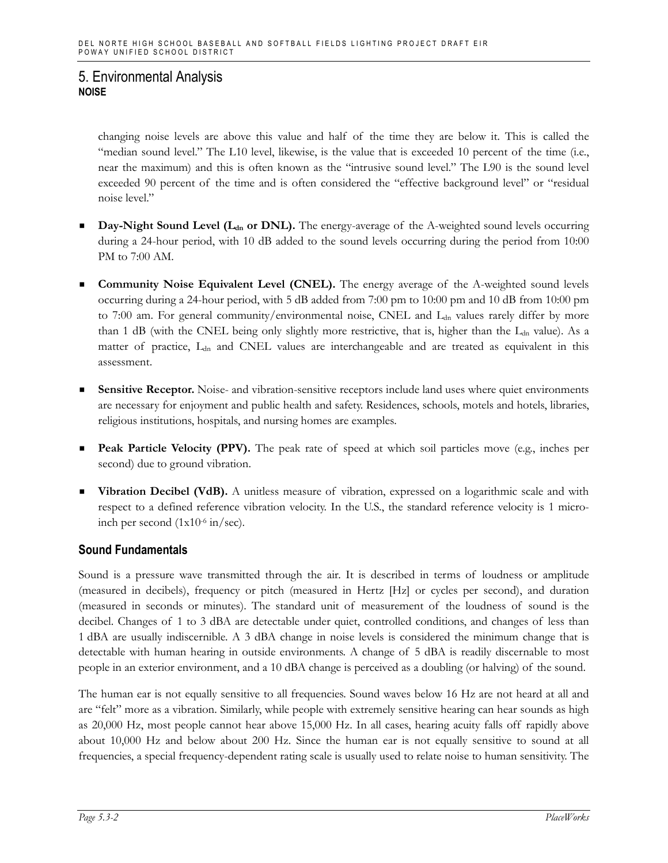changing noise levels are above this value and half of the time they are below it. This is called the "median sound level." The L10 level, likewise, is the value that is exceeded 10 percent of the time (i.e., near the maximum) and this is often known as the "intrusive sound level." The L90 is the sound level exceeded 90 percent of the time and is often considered the "effective background level" or "residual noise level."

- Day-Night Sound Level (L<sub>dn</sub> or DNL). The energy-average of the A-weighted sound levels occurring during a 24-hour period, with 10 dB added to the sound levels occurring during the period from 10:00 PM to 7:00 AM.
- **Community Noise Equivalent Level (CNEL).** The energy average of the A-weighted sound levels occurring during a 24-hour period, with 5 dB added from 7:00 pm to 10:00 pm and 10 dB from 10:00 pm to 7:00 am. For general community/environmental noise, CNEL and  $L_{dn}$  values rarely differ by more than 1 dB (with the CNEL being only slightly more restrictive, that is, higher than the  $L_{dn}$  value). As a matter of practice, L<sub>dn</sub> and CNEL values are interchangeable and are treated as equivalent in this assessment.
- **Sensitive Receptor.** Noise- and vibration-sensitive receptors include land uses where quiet environments are necessary for enjoyment and public health and safety. Residences, schools, motels and hotels, libraries, religious institutions, hospitals, and nursing homes are examples.
- **Peak Particle Velocity (PPV).** The peak rate of speed at which soil particles move (e.g., inches per second) due to ground vibration.
- **Vibration Decibel (VdB).** A unitless measure of vibration, expressed on a logarithmic scale and with respect to a defined reference vibration velocity. In the U.S., the standard reference velocity is 1 microinch per second  $(1x10^{-6} \text{ in/sec}).$

### **Sound Fundamentals**

Sound is a pressure wave transmitted through the air. It is described in terms of loudness or amplitude (measured in decibels), frequency or pitch (measured in Hertz [Hz] or cycles per second), and duration (measured in seconds or minutes). The standard unit of measurement of the loudness of sound is the decibel. Changes of 1 to 3 dBA are detectable under quiet, controlled conditions, and changes of less than 1 dBA are usually indiscernible. A 3 dBA change in noise levels is considered the minimum change that is detectable with human hearing in outside environments. A change of 5 dBA is readily discernable to most people in an exterior environment, and a 10 dBA change is perceived as a doubling (or halving) of the sound.

The human ear is not equally sensitive to all frequencies. Sound waves below 16 Hz are not heard at all and are "felt" more as a vibration. Similarly, while people with extremely sensitive hearing can hear sounds as high as 20,000 Hz, most people cannot hear above 15,000 Hz. In all cases, hearing acuity falls off rapidly above about 10,000 Hz and below about 200 Hz. Since the human ear is not equally sensitive to sound at all frequencies, a special frequency-dependent rating scale is usually used to relate noise to human sensitivity. The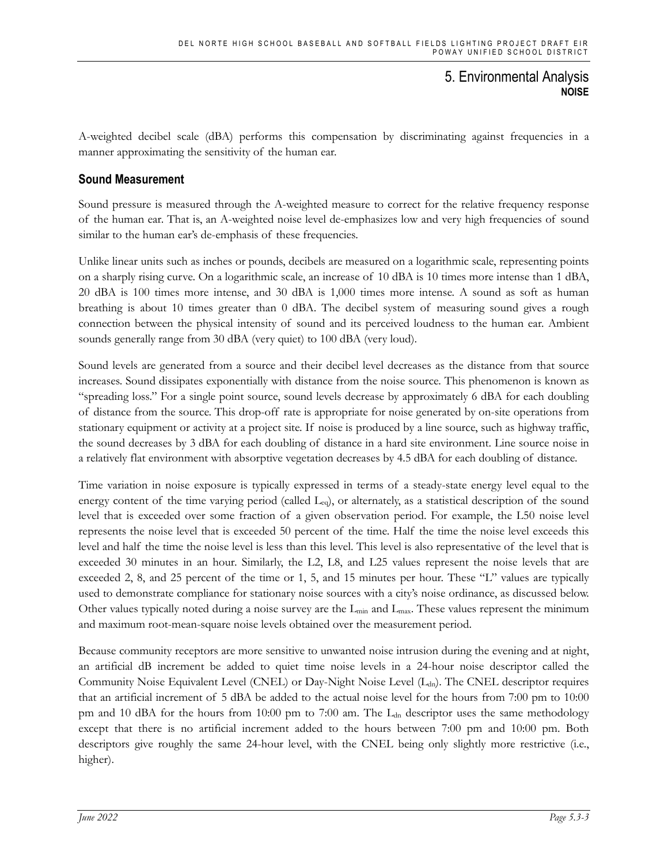A-weighted decibel scale (dBA) performs this compensation by discriminating against frequencies in a manner approximating the sensitivity of the human ear.

### **Sound Measurement**

Sound pressure is measured through the A-weighted measure to correct for the relative frequency response of the human ear. That is, an A-weighted noise level de-emphasizes low and very high frequencies of sound similar to the human ear's de-emphasis of these frequencies.

Unlike linear units such as inches or pounds, decibels are measured on a logarithmic scale, representing points on a sharply rising curve. On a logarithmic scale, an increase of 10 dBA is 10 times more intense than 1 dBA, 20 dBA is 100 times more intense, and 30 dBA is 1,000 times more intense. A sound as soft as human breathing is about 10 times greater than 0 dBA. The decibel system of measuring sound gives a rough connection between the physical intensity of sound and its perceived loudness to the human ear. Ambient sounds generally range from 30 dBA (very quiet) to 100 dBA (very loud).

Sound levels are generated from a source and their decibel level decreases as the distance from that source increases. Sound dissipates exponentially with distance from the noise source. This phenomenon is known as "spreading loss." For a single point source, sound levels decrease by approximately 6 dBA for each doubling of distance from the source. This drop-off rate is appropriate for noise generated by on-site operations from stationary equipment or activity at a project site. If noise is produced by a line source, such as highway traffic, the sound decreases by 3 dBA for each doubling of distance in a hard site environment. Line source noise in a relatively flat environment with absorptive vegetation decreases by 4.5 dBA for each doubling of distance.

Time variation in noise exposure is typically expressed in terms of a steady-state energy level equal to the energy content of the time varying period (called  $L_{eq}$ ), or alternately, as a statistical description of the sound level that is exceeded over some fraction of a given observation period. For example, the L50 noise level represents the noise level that is exceeded 50 percent of the time. Half the time the noise level exceeds this level and half the time the noise level is less than this level. This level is also representative of the level that is exceeded 30 minutes in an hour. Similarly, the L2, L8, and L25 values represent the noise levels that are exceeded 2, 8, and 25 percent of the time or 1, 5, and 15 minutes per hour. These "L" values are typically used to demonstrate compliance for stationary noise sources with a city's noise ordinance, as discussed below. Other values typically noted during a noise survey are the  $L_{min}$  and  $L_{max}$ . These values represent the minimum and maximum root-mean-square noise levels obtained over the measurement period.

Because community receptors are more sensitive to unwanted noise intrusion during the evening and at night, an artificial dB increment be added to quiet time noise levels in a 24-hour noise descriptor called the Community Noise Equivalent Level (CNEL) or Day-Night Noise Level (L<sub>dn</sub>). The CNEL descriptor requires that an artificial increment of 5 dBA be added to the actual noise level for the hours from 7:00 pm to 10:00 pm and 10 dBA for the hours from 10:00 pm to 7:00 am. The L<sub>dn</sub> descriptor uses the same methodology except that there is no artificial increment added to the hours between 7:00 pm and 10:00 pm. Both descriptors give roughly the same 24-hour level, with the CNEL being only slightly more restrictive (i.e., higher).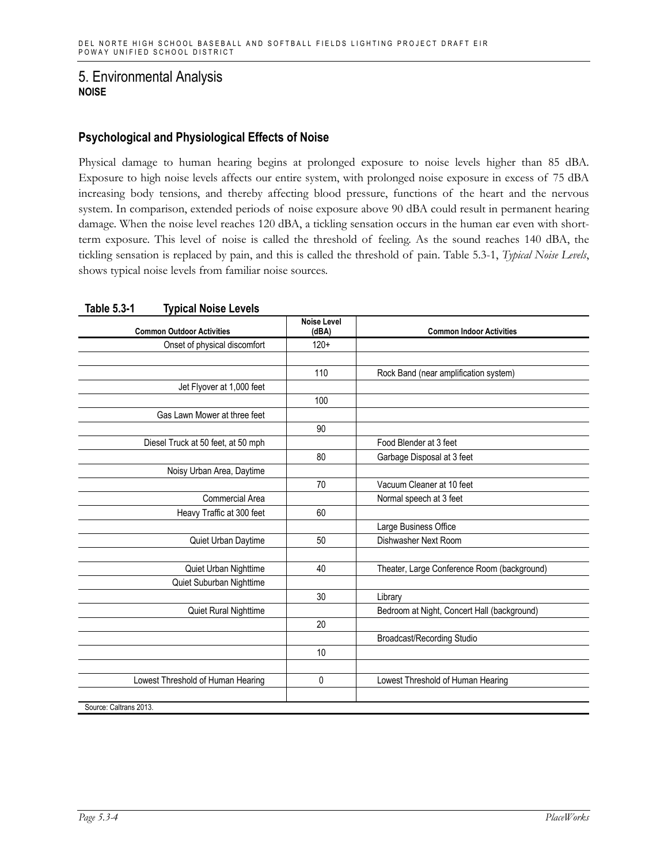### **Psychological and Physiological Effects of Noise**

Physical damage to human hearing begins at prolonged exposure to noise levels higher than 85 dBA. Exposure to high noise levels affects our entire system, with prolonged noise exposure in excess of 75 dBA increasing body tensions, and thereby affecting blood pressure, functions of the heart and the nervous system. In comparison, extended periods of noise exposure above 90 dBA could result in permanent hearing damage. When the noise level reaches 120 dBA, a tickling sensation occurs in the human ear even with shortterm exposure. This level of noise is called the threshold of feeling. As the sound reaches 140 dBA, the tickling sensation is replaced by pain, and this is called the threshold of pain. Table 5.3-1, *Typical Noise Levels*, shows typical noise levels from familiar noise sources.

| <b>Common Outdoor Activities</b>   | <b>Noise Level</b><br>(dBA) | <b>Common Indoor Activities</b>             |
|------------------------------------|-----------------------------|---------------------------------------------|
| Onset of physical discomfort       | $120+$                      |                                             |
|                                    |                             |                                             |
|                                    | 110                         | Rock Band (near amplification system)       |
| Jet Flyover at 1,000 feet          |                             |                                             |
|                                    | 100                         |                                             |
| Gas Lawn Mower at three feet       |                             |                                             |
|                                    | 90                          |                                             |
| Diesel Truck at 50 feet, at 50 mph |                             | Food Blender at 3 feet                      |
|                                    | 80                          | Garbage Disposal at 3 feet                  |
| Noisy Urban Area, Daytime          |                             |                                             |
|                                    | 70                          | Vacuum Cleaner at 10 feet                   |
| Commercial Area                    |                             | Normal speech at 3 feet                     |
| Heavy Traffic at 300 feet          | 60                          |                                             |
|                                    |                             | Large Business Office                       |
| Quiet Urban Daytime                | 50                          | Dishwasher Next Room                        |
|                                    |                             |                                             |
| Quiet Urban Nighttime              | 40                          | Theater, Large Conference Room (background) |
| Quiet Suburban Nighttime           |                             |                                             |
|                                    | 30                          | Library                                     |
| Quiet Rural Nighttime              |                             | Bedroom at Night, Concert Hall (background) |
|                                    | 20                          |                                             |
|                                    |                             | Broadcast/Recording Studio                  |
|                                    | 10                          |                                             |
|                                    |                             |                                             |
| Lowest Threshold of Human Hearing  | 0                           | Lowest Threshold of Human Hearing           |
|                                    |                             |                                             |
| Source: Caltrans 2013.             |                             |                                             |

#### **Table 5.3-1 Typical Noise Levels**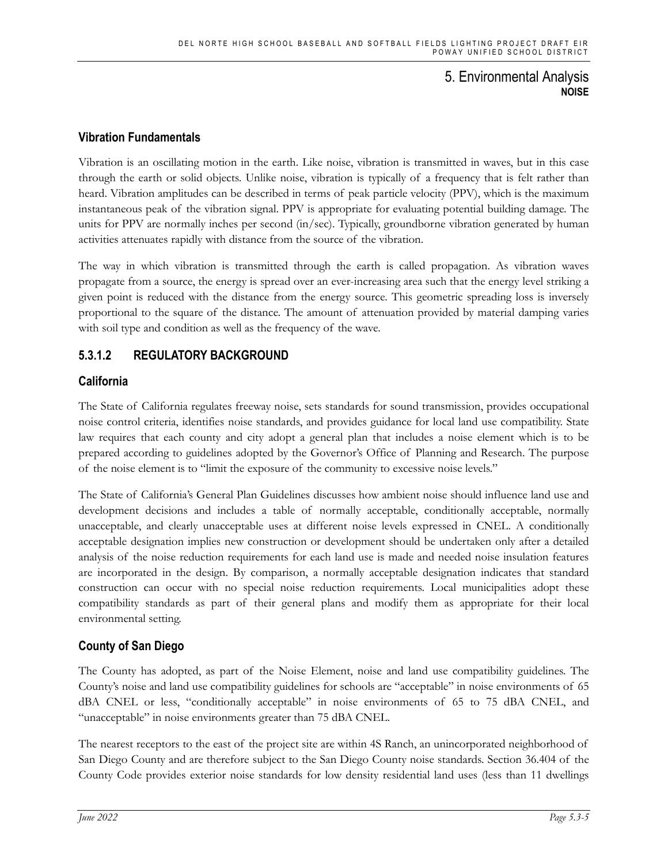### **Vibration Fundamentals**

Vibration is an oscillating motion in the earth. Like noise, vibration is transmitted in waves, but in this case through the earth or solid objects. Unlike noise, vibration is typically of a frequency that is felt rather than heard. Vibration amplitudes can be described in terms of peak particle velocity (PPV), which is the maximum instantaneous peak of the vibration signal. PPV is appropriate for evaluating potential building damage. The units for PPV are normally inches per second (in/sec). Typically, groundborne vibration generated by human activities attenuates rapidly with distance from the source of the vibration.

The way in which vibration is transmitted through the earth is called propagation. As vibration waves propagate from a source, the energy is spread over an ever-increasing area such that the energy level striking a given point is reduced with the distance from the energy source. This geometric spreading loss is inversely proportional to the square of the distance. The amount of attenuation provided by material damping varies with soil type and condition as well as the frequency of the wave.

## **5.3.1.2 REGULATORY BACKGROUND**

### **California**

The State of California regulates freeway noise, sets standards for sound transmission, provides occupational noise control criteria, identifies noise standards, and provides guidance for local land use compatibility. State law requires that each county and city adopt a general plan that includes a noise element which is to be prepared according to guidelines adopted by the Governor's Office of Planning and Research. The purpose of the noise element is to "limit the exposure of the community to excessive noise levels."

The State of California's General Plan Guidelines discusses how ambient noise should influence land use and development decisions and includes a table of normally acceptable, conditionally acceptable, normally unacceptable, and clearly unacceptable uses at different noise levels expressed in CNEL. A conditionally acceptable designation implies new construction or development should be undertaken only after a detailed analysis of the noise reduction requirements for each land use is made and needed noise insulation features are incorporated in the design. By comparison, a normally acceptable designation indicates that standard construction can occur with no special noise reduction requirements. Local municipalities adopt these compatibility standards as part of their general plans and modify them as appropriate for their local environmental setting.

### **County of San Diego**

The County has adopted, as part of the Noise Element, noise and land use compatibility guidelines. The County's noise and land use compatibility guidelines for schools are "acceptable" in noise environments of 65 dBA CNEL or less, "conditionally acceptable" in noise environments of 65 to 75 dBA CNEL, and "unacceptable" in noise environments greater than 75 dBA CNEL.

The nearest receptors to the east of the project site are within 4S Ranch, an unincorporated neighborhood of San Diego County and are therefore subject to the San Diego County noise standards. Section 36.404 of the County Code provides exterior noise standards for low density residential land uses (less than 11 dwellings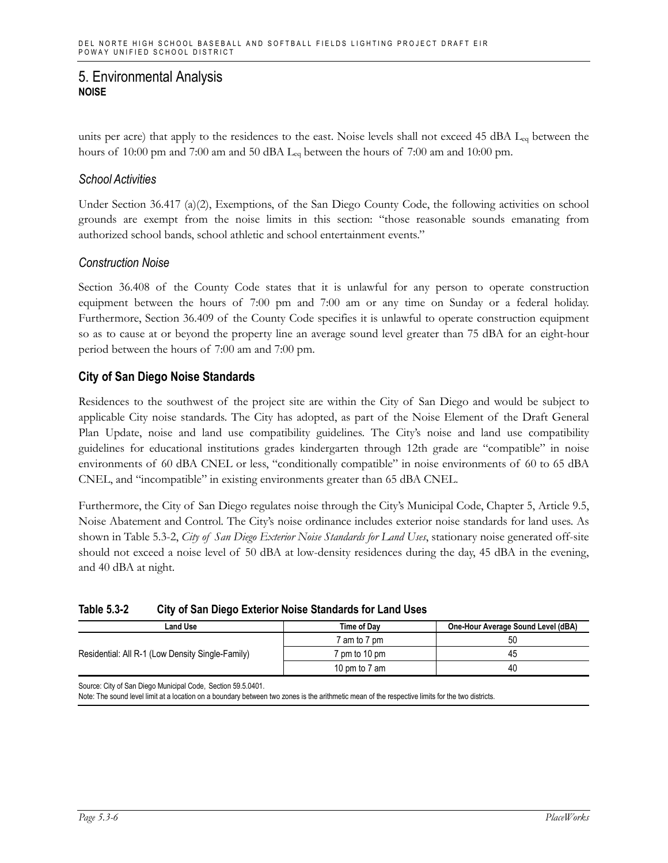units per acre) that apply to the residences to the east. Noise levels shall not exceed 45 dBA L<sub>eq</sub> between the hours of 10:00 pm and 7:00 am and 50 dBA  $L_{eq}$  between the hours of 7:00 am and 10:00 pm.

#### *School Activities*

Under Section 36.417 (a)(2), Exemptions, of the San Diego County Code, the following activities on school grounds are exempt from the noise limits in this section: "those reasonable sounds emanating from authorized school bands, school athletic and school entertainment events."

### *Construction Noise*

Section 36.408 of the County Code states that it is unlawful for any person to operate construction equipment between the hours of 7:00 pm and 7:00 am or any time on Sunday or a federal holiday. Furthermore, Section 36.409 of the County Code specifies it is unlawful to operate construction equipment so as to cause at or beyond the property line an average sound level greater than 75 dBA for an eight-hour period between the hours of 7:00 am and 7:00 pm.

### **City of San Diego Noise Standards**

Residences to the southwest of the project site are within the City of San Diego and would be subject to applicable City noise standards. The City has adopted, as part of the Noise Element of the Draft General Plan Update, noise and land use compatibility guidelines. The City's noise and land use compatibility guidelines for educational institutions grades kindergarten through 12th grade are "compatible" in noise environments of 60 dBA CNEL or less, "conditionally compatible" in noise environments of 60 to 65 dBA CNEL, and "incompatible" in existing environments greater than 65 dBA CNEL.

Furthermore, the City of San Diego regulates noise through the City's Municipal Code, Chapter 5, Article 9.5, Noise Abatement and Control*.* The City's noise ordinance includes exterior noise standards for land uses. As shown in Table 5.3-2, *City of San Diego Exterior Noise Standards for Land Uses*, stationary noise generated off-site should not exceed a noise level of 50 dBA at low-density residences during the day, 45 dBA in the evening, and 40 dBA at night.

| Table 5.3-2 | City of San Diego Exterior Noise Standards for Land Uses |
|-------------|----------------------------------------------------------|
|-------------|----------------------------------------------------------|

| Land Use                                         | Time of Dav             | One-Hour Average Sound Level (dBA) |  |  |  |
|--------------------------------------------------|-------------------------|------------------------------------|--|--|--|
| Residential: All R-1 (Low Density Single-Family) | <sup>7</sup> am to 7 pm | 50                                 |  |  |  |
|                                                  | om to 10 pm             | 45                                 |  |  |  |
|                                                  | 10 pm to 7 am           | 40                                 |  |  |  |

Source: City of San Diego Municipal Code, Section 59.5.0401.

Note: The sound level limit at a location on a boundary between two zones is the arithmetic mean of the respective limits for the two districts.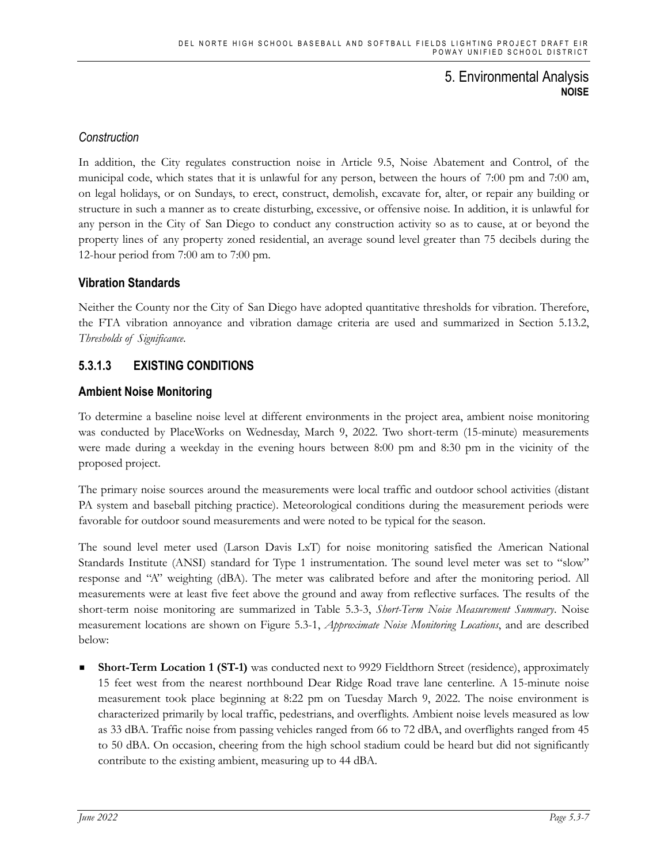# *Construction*

In addition, the City regulates construction noise in Article 9.5, Noise Abatement and Control, of the municipal code, which states that it is unlawful for any person, between the hours of 7:00 pm and 7:00 am, on legal holidays, or on Sundays, to erect, construct, demolish, excavate for, alter, or repair any building or structure in such a manner as to create disturbing, excessive, or offensive noise. In addition, it is unlawful for any person in the City of San Diego to conduct any construction activity so as to cause, at or beyond the property lines of any property zoned residential, an average sound level greater than 75 decibels during the 12-hour period from 7:00 am to 7:00 pm.

### **Vibration Standards**

Neither the County nor the City of San Diego have adopted quantitative thresholds for vibration. Therefore, the FTA vibration annoyance and vibration damage criteria are used and summarized in Section 5.13.2, *Thresholds of Significance*.

## **5.3.1.3 EXISTING CONDITIONS**

### **Ambient Noise Monitoring**

To determine a baseline noise level at different environments in the project area, ambient noise monitoring was conducted by PlaceWorks on Wednesday, March 9, 2022. Two short-term (15-minute) measurements were made during a weekday in the evening hours between 8:00 pm and 8:30 pm in the vicinity of the proposed project.

The primary noise sources around the measurements were local traffic and outdoor school activities (distant PA system and baseball pitching practice). Meteorological conditions during the measurement periods were favorable for outdoor sound measurements and were noted to be typical for the season.

The sound level meter used (Larson Davis LxT) for noise monitoring satisfied the American National Standards Institute (ANSI) standard for Type 1 instrumentation. The sound level meter was set to "slow" response and "A" weighting (dBA). The meter was calibrated before and after the monitoring period. All measurements were at least five feet above the ground and away from reflective surfaces. The results of the short-term noise monitoring are summarized in Table 5.3-3, *Short-Term Noise Measurement Summary*. Noise measurement locations are shown on Figure 5.3-1, *Approximate Noise Monitoring Locations*, and are described below:

**Short-Term Location 1 (ST-1)** was conducted next to 9929 Fieldthorn Street (residence), approximately 15 feet west from the nearest northbound Dear Ridge Road trave lane centerline. A 15-minute noise measurement took place beginning at 8:22 pm on Tuesday March 9, 2022. The noise environment is characterized primarily by local traffic, pedestrians, and overflights. Ambient noise levels measured as low as 33 dBA. Traffic noise from passing vehicles ranged from 66 to 72 dBA, and overflights ranged from 45 to 50 dBA. On occasion, cheering from the high school stadium could be heard but did not significantly contribute to the existing ambient, measuring up to 44 dBA.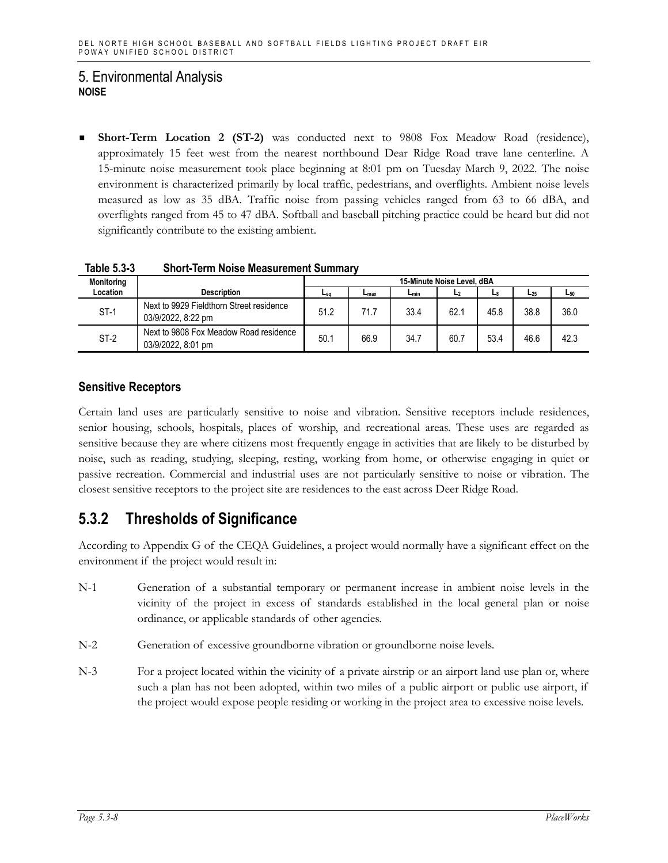**Short-Term Location 2 (ST-2)** was conducted next to 9808 Fox Meadow Road (residence), approximately 15 feet west from the nearest northbound Dear Ridge Road trave lane centerline. A 15-minute noise measurement took place beginning at 8:01 pm on Tuesday March 9, 2022. The noise environment is characterized primarily by local traffic, pedestrians, and overflights. Ambient noise levels measured as low as 35 dBA. Traffic noise from passing vehicles ranged from 63 to 66 dBA, and overflights ranged from 45 to 47 dBA. Softball and baseball pitching practice could be heard but did not significantly contribute to the existing ambient.

| <b>Monitoring</b> |                                                                | 15-Minute Noise Level, dBA |      |           |                |      |          |          |
|-------------------|----------------------------------------------------------------|----------------------------|------|-----------|----------------|------|----------|----------|
| Location          | <b>Description</b>                                             | Lea                        | Lmax | $L_{min}$ | L <sub>2</sub> | L8   | $L_{25}$ | $L_{50}$ |
| $ST-1$            | Next to 9929 Fieldthorn Street residence<br>03/9/2022, 8:22 pm | 51.2                       | 71.7 | 33.4      | 62.1           | 45.8 | 38.8     | 36.0     |
| ST-2              | Next to 9808 Fox Meadow Road residence<br>03/9/2022, 8:01 pm   | 50.7                       | 66.9 | 34.7      | 60.7           | 53.4 | 46.6     | 42.3     |

**Table 5.3-3 Short-Term Noise Measurement Summary** 

## **Sensitive Receptors**

Certain land uses are particularly sensitive to noise and vibration. Sensitive receptors include residences, senior housing, schools, hospitals, places of worship, and recreational areas. These uses are regarded as sensitive because they are where citizens most frequently engage in activities that are likely to be disturbed by noise, such as reading, studying, sleeping, resting, working from home, or otherwise engaging in quiet or passive recreation. Commercial and industrial uses are not particularly sensitive to noise or vibration. The closest sensitive receptors to the project site are residences to the east across Deer Ridge Road.

# **5.3.2 Thresholds of Significance**

According to Appendix G of the CEQA Guidelines, a project would normally have a significant effect on the environment if the project would result in:

- N-1 Generation of a substantial temporary or permanent increase in ambient noise levels in the vicinity of the project in excess of standards established in the local general plan or noise ordinance, or applicable standards of other agencies.
- N-2 Generation of excessive groundborne vibration or groundborne noise levels.
- N-3 For a project located within the vicinity of a private airstrip or an airport land use plan or, where such a plan has not been adopted, within two miles of a public airport or public use airport, if the project would expose people residing or working in the project area to excessive noise levels.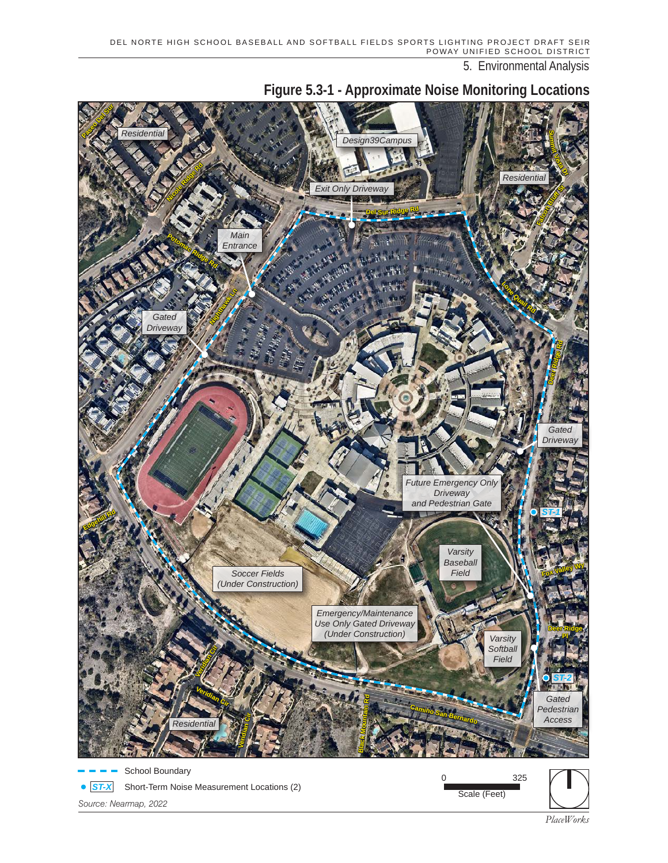

**Figure 5.3-1 - Approximate Noise Monitoring Locations**

*PlaceWorks*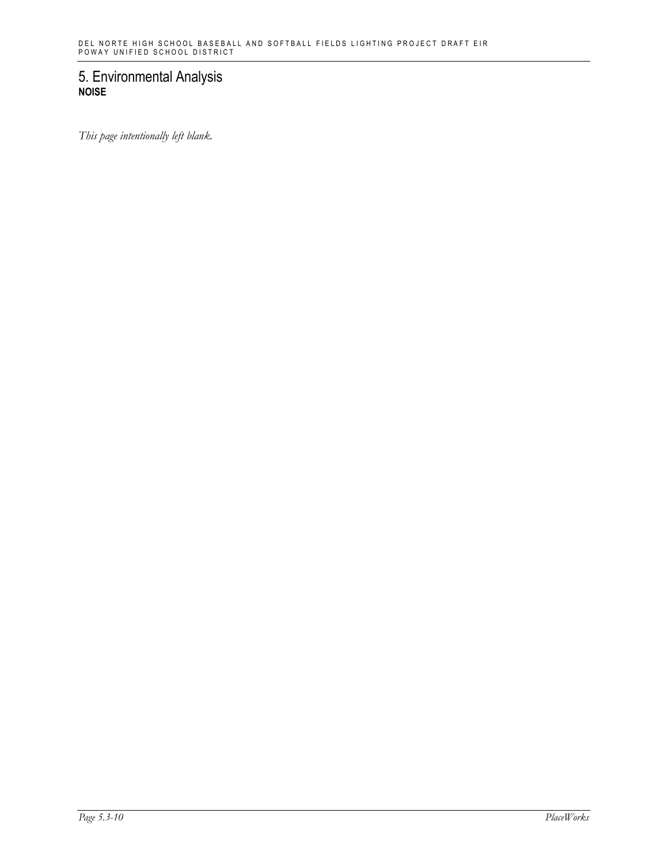*This page intentionally left blank.*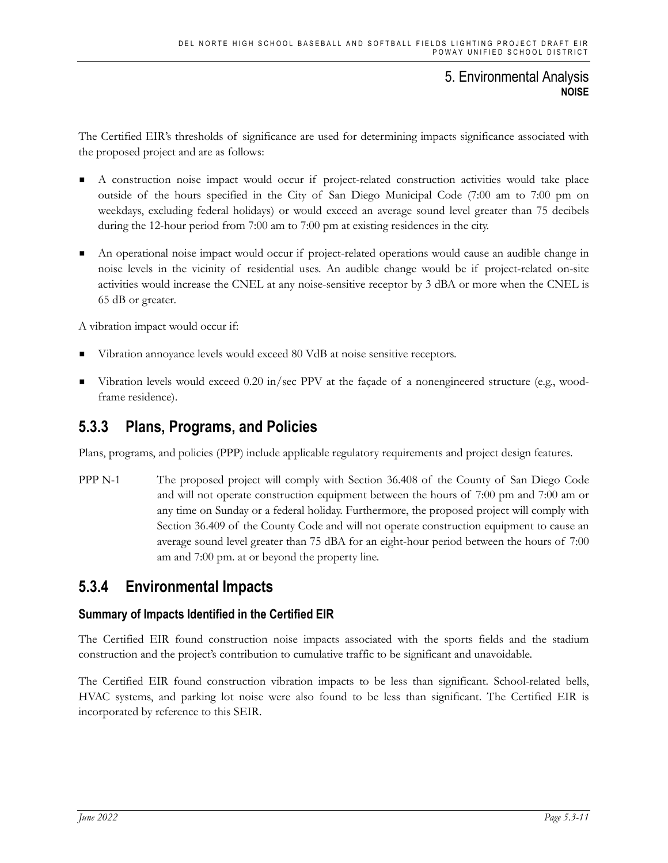The Certified EIR's thresholds of significance are used for determining impacts significance associated with the proposed project and are as follows:

- A construction noise impact would occur if project-related construction activities would take place outside of the hours specified in the City of San Diego Municipal Code (7:00 am to 7:00 pm on weekdays, excluding federal holidays) or would exceed an average sound level greater than 75 decibels during the 12-hour period from 7:00 am to 7:00 pm at existing residences in the city.
- An operational noise impact would occur if project-related operations would cause an audible change in noise levels in the vicinity of residential uses. An audible change would be if project-related on-site activities would increase the CNEL at any noise-sensitive receptor by 3 dBA or more when the CNEL is 65 dB or greater.

A vibration impact would occur if:

- Vibration annoyance levels would exceed 80 VdB at noise sensitive receptors.
- Vibration levels would exceed 0.20 in/sec PPV at the façade of a nonengineered structure (e.g., woodframe residence).

# **5.3.3 Plans, Programs, and Policies**

Plans, programs, and policies (PPP) include applicable regulatory requirements and project design features.

PPP N-1 The proposed project will comply with Section 36.408 of the County of San Diego Code and will not operate construction equipment between the hours of 7:00 pm and 7:00 am or any time on Sunday or a federal holiday. Furthermore, the proposed project will comply with Section 36.409 of the County Code and will not operate construction equipment to cause an average sound level greater than 75 dBA for an eight-hour period between the hours of 7:00 am and 7:00 pm. at or beyond the property line.

# **5.3.4 Environmental Impacts**

### **Summary of Impacts Identified in the Certified EIR**

The Certified EIR found construction noise impacts associated with the sports fields and the stadium construction and the project's contribution to cumulative traffic to be significant and unavoidable.

The Certified EIR found construction vibration impacts to be less than significant. School-related bells, HVAC systems, and parking lot noise were also found to be less than significant. The Certified EIR is incorporated by reference to this SEIR.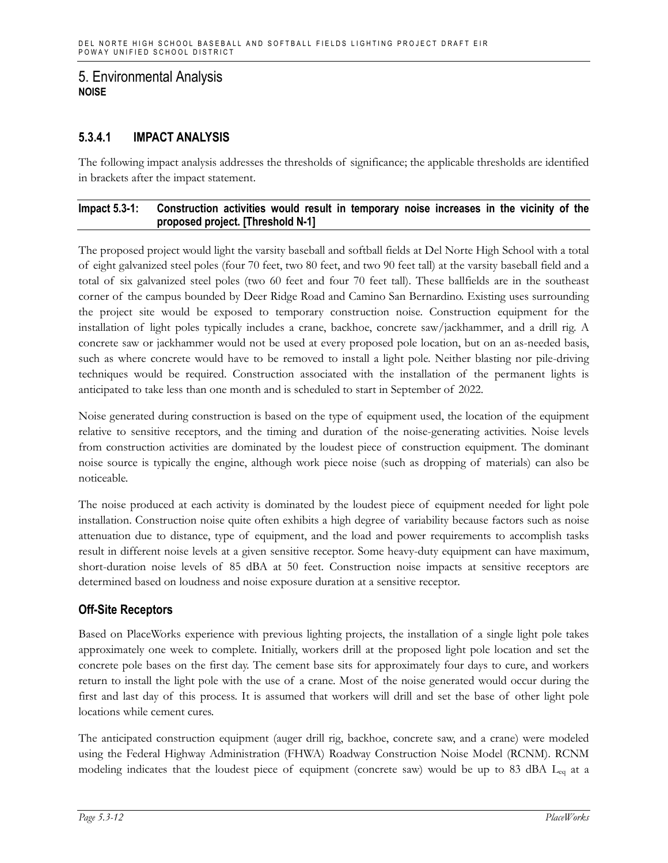## **5.3.4.1 IMPACT ANALYSIS**

The following impact analysis addresses the thresholds of significance; the applicable thresholds are identified in brackets after the impact statement.

#### **Impact 5.3-1: Construction activities would result in temporary noise increases in the vicinity of the proposed project. [Threshold N-1]**

The proposed project would light the varsity baseball and softball fields at Del Norte High School with a total of eight galvanized steel poles (four 70 feet, two 80 feet, and two 90 feet tall) at the varsity baseball field and a total of six galvanized steel poles (two 60 feet and four 70 feet tall). These ballfields are in the southeast corner of the campus bounded by Deer Ridge Road and Camino San Bernardino. Existing uses surrounding the project site would be exposed to temporary construction noise. Construction equipment for the installation of light poles typically includes a crane, backhoe, concrete saw/jackhammer, and a drill rig. A concrete saw or jackhammer would not be used at every proposed pole location, but on an as-needed basis, such as where concrete would have to be removed to install a light pole. Neither blasting nor pile-driving techniques would be required. Construction associated with the installation of the permanent lights is anticipated to take less than one month and is scheduled to start in September of 2022.

Noise generated during construction is based on the type of equipment used, the location of the equipment relative to sensitive receptors, and the timing and duration of the noise-generating activities. Noise levels from construction activities are dominated by the loudest piece of construction equipment. The dominant noise source is typically the engine, although work piece noise (such as dropping of materials) can also be noticeable.

The noise produced at each activity is dominated by the loudest piece of equipment needed for light pole installation. Construction noise quite often exhibits a high degree of variability because factors such as noise attenuation due to distance, type of equipment, and the load and power requirements to accomplish tasks result in different noise levels at a given sensitive receptor. Some heavy-duty equipment can have maximum, short-duration noise levels of 85 dBA at 50 feet. Construction noise impacts at sensitive receptors are determined based on loudness and noise exposure duration at a sensitive receptor.

### **Off-Site Receptors**

Based on PlaceWorks experience with previous lighting projects, the installation of a single light pole takes approximately one week to complete. Initially, workers drill at the proposed light pole location and set the concrete pole bases on the first day. The cement base sits for approximately four days to cure, and workers return to install the light pole with the use of a crane. Most of the noise generated would occur during the first and last day of this process. It is assumed that workers will drill and set the base of other light pole locations while cement cures.

The anticipated construction equipment (auger drill rig, backhoe, concrete saw, and a crane) were modeled using the Federal Highway Administration (FHWA) Roadway Construction Noise Model (RCNM). RCNM modeling indicates that the loudest piece of equipment (concrete saw) would be up to 83 dBA Leq at a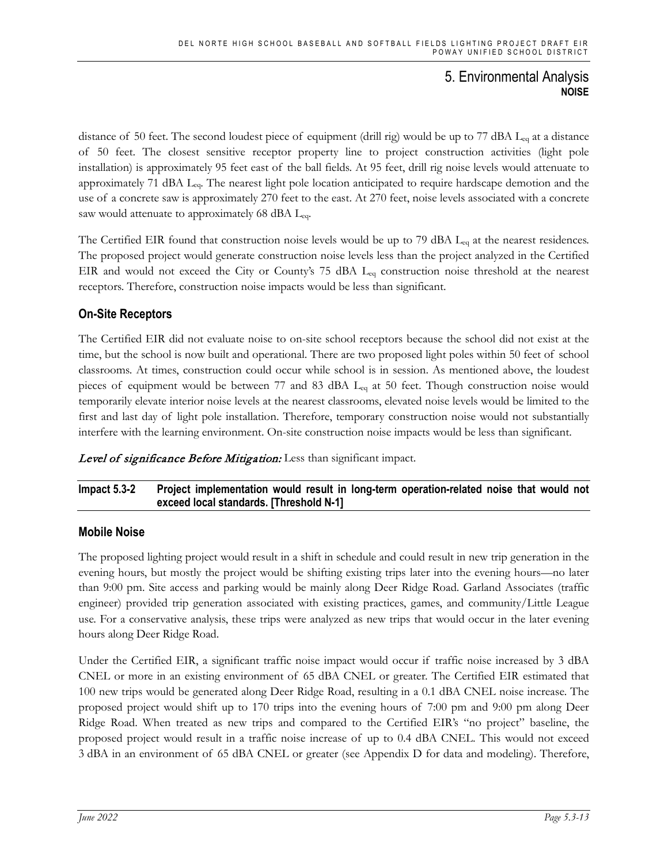distance of 50 feet. The second loudest piece of equipment (drill rig) would be up to 77 dBA Leq at a distance of 50 feet. The closest sensitive receptor property line to project construction activities (light pole installation) is approximately 95 feet east of the ball fields. At 95 feet, drill rig noise levels would attenuate to approximately 71 dBA Leq. The nearest light pole location anticipated to require hardscape demotion and the use of a concrete saw is approximately 270 feet to the east. At 270 feet, noise levels associated with a concrete saw would attenuate to approximately 68 dBA Leq.

The Certified EIR found that construction noise levels would be up to 79 dBA L<sub>eq</sub> at the nearest residences. The proposed project would generate construction noise levels less than the project analyzed in the Certified EIR and would not exceed the City or County's 75 dBA L<sub>eq</sub> construction noise threshold at the nearest receptors. Therefore, construction noise impacts would be less than significant.

# **On-Site Receptors**

The Certified EIR did not evaluate noise to on-site school receptors because the school did not exist at the time, but the school is now built and operational. There are two proposed light poles within 50 feet of school classrooms. At times, construction could occur while school is in session. As mentioned above, the loudest pieces of equipment would be between 77 and 83 dBA Leq at 50 feet. Though construction noise would temporarily elevate interior noise levels at the nearest classrooms, elevated noise levels would be limited to the first and last day of light pole installation. Therefore, temporary construction noise would not substantially interfere with the learning environment. On-site construction noise impacts would be less than significant.

Level of significance Before Mitigation: Less than significant impact.

### **Impact 5.3-2 Project implementation would result in long-term operation-related noise that would not exceed local standards. [Threshold N-1]**

### **Mobile Noise**

The proposed lighting project would result in a shift in schedule and could result in new trip generation in the evening hours, but mostly the project would be shifting existing trips later into the evening hours—no later than 9:00 pm. Site access and parking would be mainly along Deer Ridge Road. Garland Associates (traffic engineer) provided trip generation associated with existing practices, games, and community/Little League use. For a conservative analysis, these trips were analyzed as new trips that would occur in the later evening hours along Deer Ridge Road.

Under the Certified EIR, a significant traffic noise impact would occur if traffic noise increased by 3 dBA CNEL or more in an existing environment of 65 dBA CNEL or greater. The Certified EIR estimated that 100 new trips would be generated along Deer Ridge Road, resulting in a 0.1 dBA CNEL noise increase. The proposed project would shift up to 170 trips into the evening hours of 7:00 pm and 9:00 pm along Deer Ridge Road. When treated as new trips and compared to the Certified EIR's "no project" baseline, the proposed project would result in a traffic noise increase of up to 0.4 dBA CNEL. This would not exceed 3 dBA in an environment of 65 dBA CNEL or greater (see Appendix D for data and modeling). Therefore,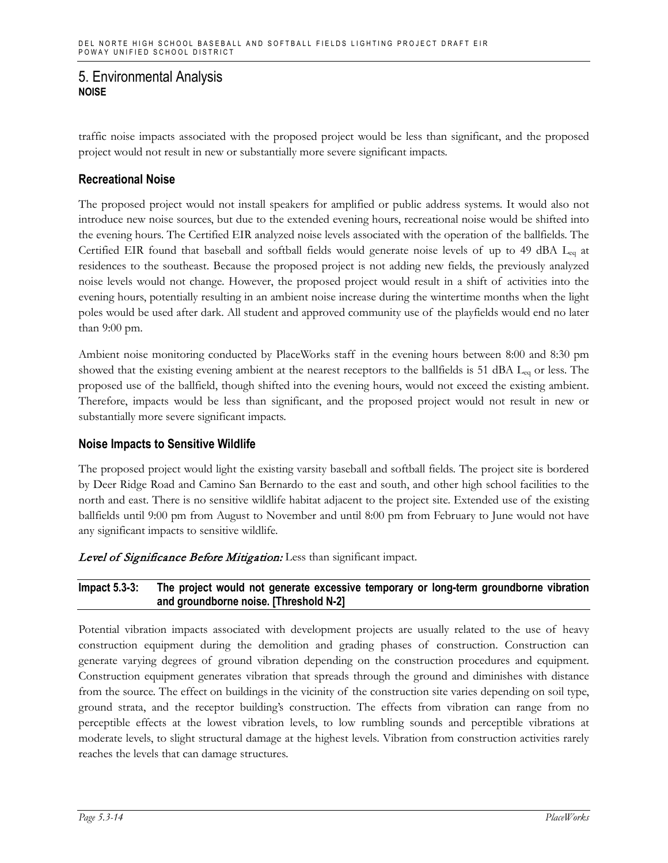traffic noise impacts associated with the proposed project would be less than significant, and the proposed project would not result in new or substantially more severe significant impacts.

### **Recreational Noise**

The proposed project would not install speakers for amplified or public address systems. It would also not introduce new noise sources, but due to the extended evening hours, recreational noise would be shifted into the evening hours. The Certified EIR analyzed noise levels associated with the operation of the ballfields. The Certified EIR found that baseball and softball fields would generate noise levels of up to 49 dBA Leq at residences to the southeast. Because the proposed project is not adding new fields, the previously analyzed noise levels would not change. However, the proposed project would result in a shift of activities into the evening hours, potentially resulting in an ambient noise increase during the wintertime months when the light poles would be used after dark. All student and approved community use of the playfields would end no later than 9:00 pm.

Ambient noise monitoring conducted by PlaceWorks staff in the evening hours between 8:00 and 8:30 pm showed that the existing evening ambient at the nearest receptors to the ballfields is 51 dBA Leq or less. The proposed use of the ballfield, though shifted into the evening hours, would not exceed the existing ambient. Therefore, impacts would be less than significant, and the proposed project would not result in new or substantially more severe significant impacts.

### **Noise Impacts to Sensitive Wildlife**

The proposed project would light the existing varsity baseball and softball fields. The project site is bordered by Deer Ridge Road and Camino San Bernardo to the east and south, and other high school facilities to the north and east. There is no sensitive wildlife habitat adjacent to the project site. Extended use of the existing ballfields until 9:00 pm from August to November and until 8:00 pm from February to June would not have any significant impacts to sensitive wildlife.

#### Level of Significance Before Mitigation: Less than significant impact.

#### **Impact 5.3-3: The project would not generate excessive temporary or long-term groundborne vibration and groundborne noise. [Threshold N-2]**

Potential vibration impacts associated with development projects are usually related to the use of heavy construction equipment during the demolition and grading phases of construction. Construction can generate varying degrees of ground vibration depending on the construction procedures and equipment. Construction equipment generates vibration that spreads through the ground and diminishes with distance from the source. The effect on buildings in the vicinity of the construction site varies depending on soil type, ground strata, and the receptor building's construction. The effects from vibration can range from no perceptible effects at the lowest vibration levels, to low rumbling sounds and perceptible vibrations at moderate levels, to slight structural damage at the highest levels. Vibration from construction activities rarely reaches the levels that can damage structures.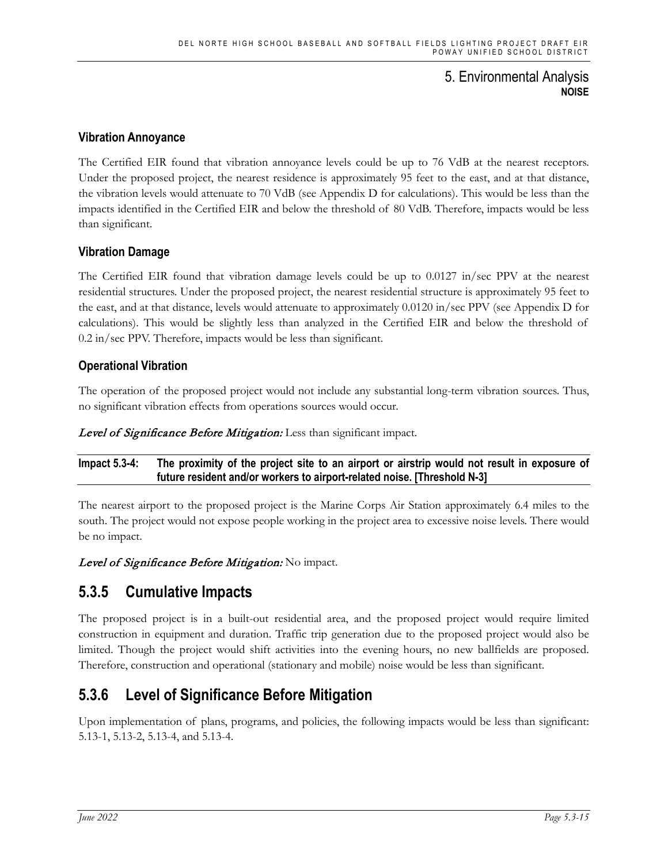### **Vibration Annoyance**

The Certified EIR found that vibration annoyance levels could be up to 76 VdB at the nearest receptors. Under the proposed project, the nearest residence is approximately 95 feet to the east, and at that distance, the vibration levels would attenuate to 70 VdB (see Appendix D for calculations). This would be less than the impacts identified in the Certified EIR and below the threshold of 80 VdB. Therefore, impacts would be less than significant.

### **Vibration Damage**

The Certified EIR found that vibration damage levels could be up to 0.0127 in/sec PPV at the nearest residential structures. Under the proposed project, the nearest residential structure is approximately 95 feet to the east, and at that distance, levels would attenuate to approximately 0.0120 in/sec PPV (see Appendix D for calculations). This would be slightly less than analyzed in the Certified EIR and below the threshold of 0.2 in/sec PPV. Therefore, impacts would be less than significant.

### **Operational Vibration**

The operation of the proposed project would not include any substantial long-term vibration sources. Thus, no significant vibration effects from operations sources would occur.

Level of Significance Before Mitigation: Less than significant impact.

**Impact 5.3-4: The proximity of the project site to an airport or airstrip would not result in exposure of future resident and/or workers to airport-related noise. [Threshold N-3]**

The nearest airport to the proposed project is the Marine Corps Air Station approximately 6.4 miles to the south. The project would not expose people working in the project area to excessive noise levels. There would be no impact.

Level of Significance Before Mitigation: No impact.

# **5.3.5 Cumulative Impacts**

The proposed project is in a built-out residential area, and the proposed project would require limited construction in equipment and duration. Traffic trip generation due to the proposed project would also be limited. Though the project would shift activities into the evening hours, no new ballfields are proposed. Therefore, construction and operational (stationary and mobile) noise would be less than significant.

# **5.3.6 Level of Significance Before Mitigation**

Upon implementation of plans, programs, and policies, the following impacts would be less than significant: 5.13-1, 5.13-2, 5.13-4, and 5.13-4.